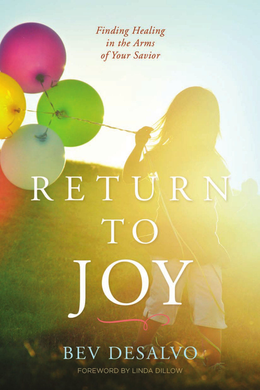**Finding Healing** in the Arms of Your Savior

# RETURN TO

# BEV DESALVO

FOREWORD BY LINDA DILLOW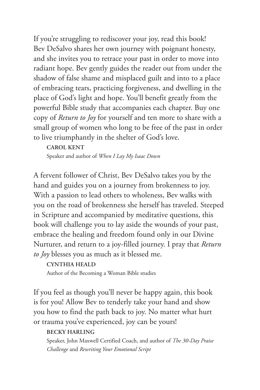If you're struggling to rediscover your joy, read this book! Bev DeSalvo shares her own journey with poignant honesty, and she invites you to retrace your past in order to move into radiant hope. Bev gently guides the reader out from under the shadow of false shame and misplaced guilt and into to a place of embracing tears, practicing forgiveness, and dwelling in the place of God's light and hope. You'll benefit greatly from the powerful Bible study that accompanies each chapter. Buy one copy of *Return to Joy* for yourself and ten more to share with a small group of women who long to be free of the past in order to live triumphantly in the shelter of God's love.

#### **CAROL KENT**

Speaker and author of *When I Lay My Isaac Down*

A fervent follower of Christ, Bev DeSalvo takes you by the hand and guides you on a journey from brokenness to joy. With a passion to lead others to wholeness, Bev walks with you on the road of brokenness she herself has traveled. Steeped in Scripture and accompanied by meditative questions, this book will challenge you to lay aside the wounds of your past, embrace the healing and freedom found only in our Divine Nurturer, and return to a joy-filled journey. I pray that *Return to Joy* blesses you as much as it blessed me.

#### **CYNTHIA HEALD**

Author of the Becoming a Woman Bible studies

If you feel as though you'll never be happy again, this book is for you! Allow Bev to tenderly take your hand and show you how to find the path back to joy. No matter what hurt or trauma you've experienced, joy can be yours!

#### **BECKY HARLING**

Speaker, John Maxwell Certified Coach, and author of *The 30-Day Praise Challenge* and *Rewriting Your Emotional Script*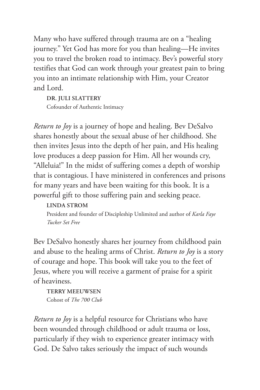Many who have suffered through trauma are on a "healing journey." Yet God has more for you than healing—He invites you to travel the broken road to intimacy. Bev's powerful story testifies that God can work through your greatest pain to bring you into an intimate relationship with Him, your Creator and Lord.

**DR. JULI SLATTERY** Cofounder of Authentic Intimacy

*Return to Joy* is a journey of hope and healing. Bev DeSalvo shares honestly about the sexual abuse of her childhood. She then invites Jesus into the depth of her pain, and His healing love produces a deep passion for Him. All her wounds cry, "Alleluia!" In the midst of suffering comes a depth of worship that is contagious. I have ministered in conferences and prisons for many years and have been waiting for this book. It is a powerful gift to those suffering pain and seeking peace.

#### **LINDA STROM**

President and founder of Discipleship Unlimited and author of *Karla Faye Tucker Set Free*

Bev DeSalvo honestly shares her journey from childhood pain and abuse to the healing arms of Christ. *Return to Joy* is a story of courage and hope. This book will take you to the feet of Jesus, where you will receive a garment of praise for a spirit of heaviness.

**TERRY MEEUWSEN** Cohost of *The 700 Club*

*Return to Joy* is a helpful resource for Christians who have been wounded through childhood or adult trauma or loss, particularly if they wish to experience greater intimacy with God. De Salvo takes seriously the impact of such wounds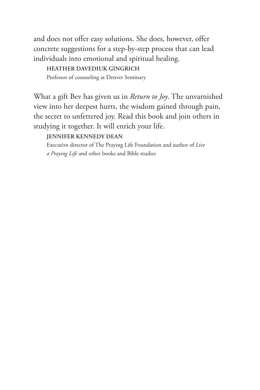and does not offer easy solutions. She does, however, offer concrete suggestions for a step-by-step process that can lead individuals into emotional and spiritual healing.

#### **HEATHER DAVEDIUK GINGRICH**

Professor of counseling at Denver Seminary

What a gift Bev has given us in *Return to Joy*. The unvarnished view into her deepest hurts, the wisdom gained through pain, the secret to unfettered joy. Read this book and join others in studying it together. It will enrich your life.

#### **JENNIFER KENNEDY DEAN**

Executive director of The Praying Life Foundation and author of *Live a Praying Life* and other books and Bible studies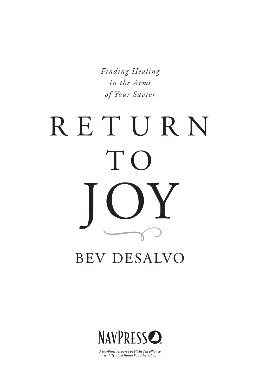*Finding Healing in the Arms of Your Savior*

# BEV DESALVO RETURN T O JOY



*A NavPress resource published in alliance with Tyndale House Publishers, Inc.*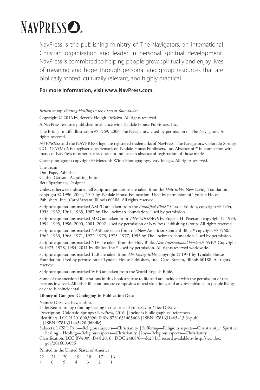# NAVPRESSO.

NavPress is the publishing ministry of The Navigators, an international Christian organization and leader in personal spiritual development. NavPress is committed to helping people grow spiritually and enjoy lives of meaning and hope through personal and group resources that are biblically rooted, culturally relevant, and highly practical.

#### **For more information, visit www.NavPress.com.**

*Return to Joy: Finding Healing in the Arms of Your Savior*

Copyright © 2016 by Beverly Hough DeSalvo. All rights reserved.

A NavPress resource published in alliance with Tyndale House Publishers, Inc.

The Bridge to Life Illustration © 1969, 2006 The Navigators. Used by permission of The Navigators. All rights reserved.

*NAVPRESS* and the NAVPRESS logo are registered trademarks of NavPress, The Navigators, Colorado Springs, CO. *TYNDALE* is a registered trademark of Tyndale House Publishers, Inc. Absence of ® in connection with marks of NavPress or other parties does not indicate an absence of registration of those marks.

Cover photograph copyright © Meredith Winn Photography/Getty Images. All rights reserved.

The Team: Don Pape, Publisher Caitlyn Carlson, Acquiring Editor Beth Sparkman, Designer

Unless otherwise indicated, all Scripture quotations are taken from the *Holy Bible*, New Living Translation, copyright © 1996, 2004, 2015 by Tyndale House Foundation. Used by permission of Tyndale House Publishers, Inc., Carol Stream, Illinois 60188. All rights reserved.

Scripture quotations marked AMPC are taken from the *Amplified Bible*, ® Classic Edition, copyright © 1954, 1958, 1962, 1964, 1965, 1987 by The Lockman Foundation. Used by permission.

Scripture quotations marked MSG are taken from *THE MESSAGE* by Eugene H. Peterson, copyright © 1993, 1994, 1995, 1996, 2000, 2001, 2002. Used by permission of NavPress Publishing Group. All rights reserved.

Scripture quotations marked NASB are taken from the New American Standard Bible,® copyright © 1960, 1962, 1963, 1968, 1971, 1972, 1973, 1975, 1977, 1995 by The Lockman Foundation. Used by permission.

Scripture quotations marked NIV are taken from the Holy Bible, *New International Version*, ® *NIV*. ® Copyright © 1973, 1978, 1984, 2011 by Biblica, Inc.® Used by permission. All rights reserved worldwide.

Scripture quotations marked TLB are taken from *The Living Bible*, copyright © 1971 by Tyndale House Foundation. Used by permission of Tyndale House Publishers, Inc., Carol Stream, Illinois 60188. All rights reserved.

Scripture quotations marked WEB are taken from the World English Bible.

Some of the anecdotal illustrations in this book are true to life and are included with the permission of the persons involved. All other illustrations are composites of real situations, and any resemblance to people living or dead is coincidental.

#### **Library of Congress Cataloging-in-Publication Data**

Names: DeSalvo, Bev, author.

Title: Return to joy : finding healing in the arms of your Savior / Bev DeSalvo. Description: Colorado Springs : NavPress, 2016. | Includes bibliographical references. Identifiers: LCCN 2016003096| ISBN 9781631465406 | ISBN 9781631465413 (e-pub) | ISBN 9781631465420 (kindle)

Subjects: LCSH: Pain—Religious aspects—Christianity. | Suffering—Religious aspects—Christianity. | Spiritual healing. | Healing—Religious aspects—Christianity. | Joy—Religious aspects—Christianity.

Classification: LCC BV4909 .D44 2016 | DDC 248.8/6—dc23 LC record available at http://lccn.loc. gov/2016003096

Printed in the United States of America

|  | 22 21 20 19 18 17 16 |  |  |
|--|----------------------|--|--|
|  |                      |  |  |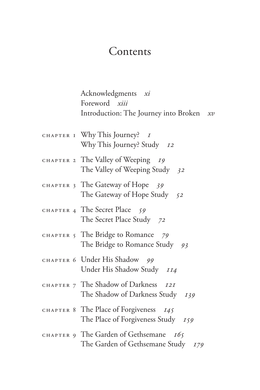## **Contents**

 [Acknowledgments](#page-9-0) *xi*  [Foreword](#page-11-0) *xiii*  [Introduction: The Journey into Broken](#page-13-0) *xv*

| CHAPTER I Why This Journey? $I$<br>Why This Journey? Study 12                |
|------------------------------------------------------------------------------|
| CHAPTER 2 The Valley of Weeping 19<br>The Valley of Weeping Study 32         |
| CHAPTER 3 The Gateway of Hope 39<br>The Gateway of Hope Study 52             |
| CHAPTER 4 The Secret Place 59<br>The Secret Place Study 72                   |
| CHAPTER 5 The Bridge to Romance 79<br>The Bridge to Romance Study 93         |
| CHAPTER 6 Under His Shadow 99<br>Under His Shadow Study 114                  |
| CHAPTER 7 The Shadow of Darkness 121<br>The Shadow of Darkness Study 139     |
| CHAPTER 8 The Place of Forgiveness 145<br>The Place of Forgiveness Study 159 |
| CHAPTER 9 The Garden of Gethsemane 165<br>The Garden of Gethsemane Study 179 |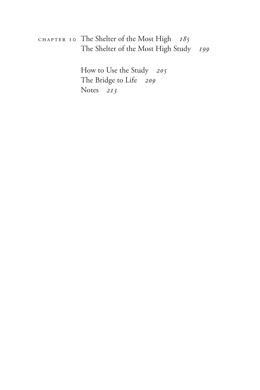CHAPTER 10 The Shelter of the Most High  $185$ The Shelter of the Most High Study *199*

> How to Use the Study *205* The Bridge to Life *209* Notes *213*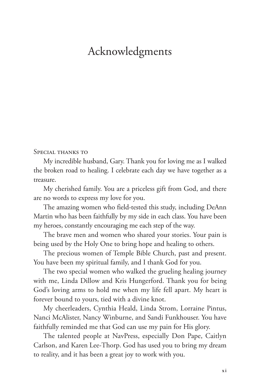# <span id="page-9-0"></span>Acknowledgments

#### Special thanks to

My incredible husband, Gary. Thank you for loving me as I walked the broken road to healing. I celebrate each day we have together as a treasure.

My cherished family. You are a priceless gift from God, and there are no words to express my love for you.

The amazing women who field-tested this study, including DeAnn Martin who has been faithfully by my side in each class. You have been my heroes, constantly encouraging me each step of the way.

The brave men and women who shared your stories. Your pain is being used by the Holy One to bring hope and healing to others.

The precious women of Temple Bible Church, past and present. You have been my spiritual family, and I thank God for you.

The two special women who walked the grueling healing journey with me, Linda Dillow and Kris Hungerford. Thank you for being God's loving arms to hold me when my life fell apart. My heart is forever bound to yours, tied with a divine knot.

My cheerleaders, Cynthia Heald, Linda Strom, Lorraine Pintus, Nanci McAlister, Nancy Winburne, and Sandi Funkhouser. You have faithfully reminded me that God can use my pain for His glory.

The talented people at NavPress, especially Don Pape, Caitlyn Carlson, and Karen Lee-Thorp. God has used you to bring my dream to reality, and it has been a great joy to work with you.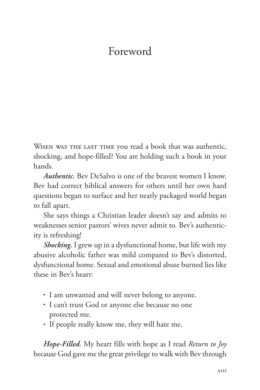# <span id="page-11-0"></span>Foreword

WHEN WAS THE LAST TIME you read a book that was authentic, shocking, and hope-filled? You are holding such a book in your hands.

*Authentic.* Bev DeSalvo is one of the bravest women I know. Bev had correct biblical answers for others until her own hard questions began to surface and her neatly packaged world began to fall apart.

She says things a Christian leader doesn't say and admits to weaknesses senior pastors' wives never admit to. Bev's authenticity is refreshing!

*Shocking.* I grew up in a dysfunctional home, but life with my abusive alcoholic father was mild compared to Bev's distorted, dysfunctional home. Sexual and emotional abuse burned lies like these in Bev's heart:

- I am unwanted and will never belong to anyone.
- I can't trust God or anyone else because no one protected me.
- If people really know me, they will hate me.

*Hope-Filled.* My heart fills with hope as I read *Return to Joy* because God gave me the great privilege to walk with Bev through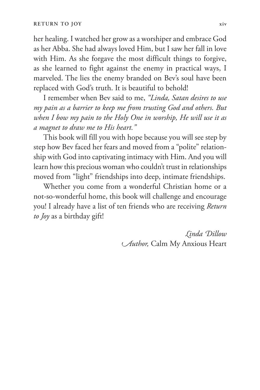her healing. I watched her grow as a worshiper and embrace God as her Abba. She had always loved Him, but I saw her fall in love with Him. As she forgave the most difficult things to forgive, as she learned to fight against the enemy in practical ways, I marveled. The lies the enemy branded on Bev's soul have been replaced with God's truth. It is beautiful to behold!

I remember when Bev said to me, *"Linda, Satan desires to use my pain as a barrier to keep me from trusting God and others. But when I bow my pain to the Holy One in worship, He will use it as a magnet to draw me to His heart."*

This book will fill you with hope because you will see step by step how Bev faced her fears and moved from a "polite" relationship with God into captivating intimacy with Him. And you will learn how this precious woman who couldn't trust in relationships moved from "light" friendships into deep, intimate friendships.

Whether you come from a wonderful Christian home or a not-so-wonderful home, this book will challenge and encourage you! I already have a list of ten friends who are receiving *Return to Joy* as a birthday gift!

> *Linda Dillow Author,* Calm My Anxious Heart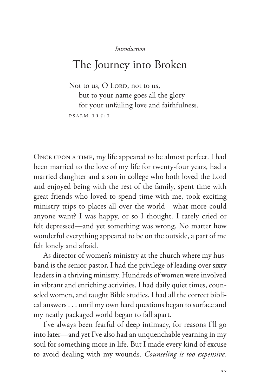#### *Introduction*

### <span id="page-13-0"></span>The Journey into Broken

Not to us,  $O$  Lord, not to us, but to your name goes all the glory for your unfailing love and faithfulness. P S A L M I I 5: I

Once upon a time, my life appeared to be almost perfect. I had been married to the love of my life for twenty-four years, had a married daughter and a son in college who both loved the Lord and enjoyed being with the rest of the family, spent time with great friends who loved to spend time with me, took exciting ministry trips to places all over the world—what more could anyone want? I was happy, or so I thought. I rarely cried or felt depressed—and yet something was wrong. No matter how wonderful everything appeared to be on the outside, a part of me felt lonely and afraid.

As director of women's ministry at the church where my husband is the senior pastor, I had the privilege of leading over sixty leaders in a thriving ministry. Hundreds of women were involved in vibrant and enriching activities. I had daily quiet times, counseled women, and taught Bible studies. I had all the correct biblical answers . . . until my own hard questions began to surface and my neatly packaged world began to fall apart.

I've always been fearful of deep intimacy, for reasons I'll go into later—and yet I've also had an unquenchable yearning in my soul for something more in life. But I made every kind of excuse to avoid dealing with my wounds. *Counseling is too expensive.*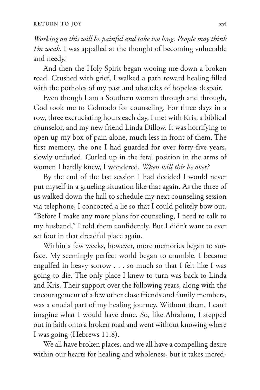*Working on this will be painful and take too long. People may think I'm weak.* I was appalled at the thought of becoming vulnerable and needy.

And then the Holy Spirit began wooing me down a broken road. Crushed with grief, I walked a path toward healing filled with the potholes of my past and obstacles of hopeless despair.

Even though I am a Southern woman through and through, God took me to Colorado for counseling. For three days in a row, three excruciating hours each day, I met with Kris, a biblical counselor, and my new friend Linda Dillow. It was horrifying to open up my box of pain alone, much less in front of them. The first memory, the one I had guarded for over forty-five years, slowly unfurled. Curled up in the fetal position in the arms of women I hardly knew, I wondered, *When will this be over?*

By the end of the last session I had decided I would never put myself in a grueling situation like that again. As the three of us walked down the hall to schedule my next counseling session via telephone, I concocted a lie so that I could politely bow out. "Before I make any more plans for counseling, I need to talk to my husband," I told them confidently. But I didn't want to ever set foot in that dreadful place again.

Within a few weeks, however, more memories began to surface. My seemingly perfect world began to crumble. I became engulfed in heavy sorrow . . . so much so that I felt like I was going to die. The only place I knew to turn was back to Linda and Kris. Their support over the following years, along with the encouragement of a few other close friends and family members, was a crucial part of my healing journey. Without them, I can't imagine what I would have done. So, like Abraham, I stepped out in faith onto a broken road and went without knowing where I was going (Hebrews 11:8).

We all have broken places, and we all have a compelling desire within our hearts for healing and wholeness, but it takes incred-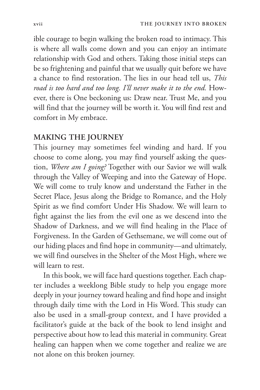ible courage to begin walking the broken road to intimacy. This is where all walls come down and you can enjoy an intimate relationship with God and others. Taking those initial steps can be so frightening and painful that we usually quit before we have a chance to find restoration. The lies in our head tell us, *This road is too hard and too long. I'll never make it to the end.* However, there is One beckoning us: Draw near. Trust Me, and you will find that the journey will be worth it. You will find rest and comfort in My embrace.

#### **MAKING THE JOURNEY**

This journey may sometimes feel winding and hard. If you choose to come along, you may find yourself asking the question, *Where am I going?* Together with our Savior we will walk through the Valley of Weeping and into the Gateway of Hope. We will come to truly know and understand the Father in the Secret Place, Jesus along the Bridge to Romance, and the Holy Spirit as we find comfort Under His Shadow. We will learn to fight against the lies from the evil one as we descend into the Shadow of Darkness, and we will find healing in the Place of Forgiveness. In the Garden of Gethsemane, we will come out of our hiding places and find hope in community—and ultimately, we will find ourselves in the Shelter of the Most High, where we will learn to rest.

In this book, we will face hard questions together. Each chapter includes a weeklong Bible study to help you engage more deeply in your journey toward healing and find hope and insight through daily time with the Lord in His Word. This study can also be used in a small-group context, and I have provided a facilitator's guide at the back of the book to lend insight and perspective about how to lead this material in community. Great healing can happen when we come together and realize we are not alone on this broken journey.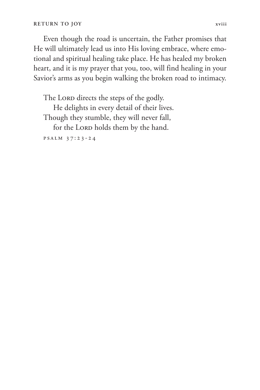Even though the road is uncertain, the Father promises that He will ultimately lead us into His loving embrace, where emotional and spiritual healing take place. He has healed my broken heart, and it is my prayer that you, too, will find healing in your Savior's arms as you begin walking the broken road to intimacy.

The Lord directs the steps of the godly. He delights in every detail of their lives. Though they stumble, they will never fall, for the LORD holds them by the hand. P salm 37:23 - 2 4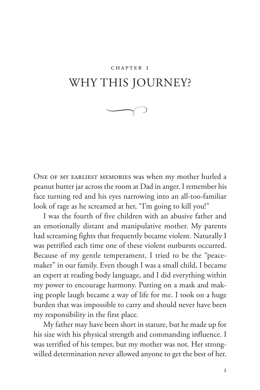#### CHAPTER I

# <span id="page-17-0"></span>WHY THIS JOURNEY?



One of my earliest memories was when my mother hurled a peanut butter jar across the room at Dad in anger. I remember his face turning red and his eyes narrowing into an all-too-familiar look of rage as he screamed at her, "I'm going to kill you!"

I was the fourth of five children with an abusive father and an emotionally distant and manipulative mother. My parents had screaming fights that frequently became violent. Naturally I was petrified each time one of these violent outbursts occurred. Because of my gentle temperament, I tried to be the "peacemaker" in our family. Even though I was a small child, I became an expert at reading body language, and I did everything within my power to encourage harmony. Putting on a mask and making people laugh became a way of life for me. I took on a huge burden that was impossible to carry and should never have been my responsibility in the first place.

My father may have been short in stature, but he made up for his size with his physical strength and commanding influence. I was terrified of his temper, but my mother was not. Her strongwilled determination never allowed anyone to get the best of her.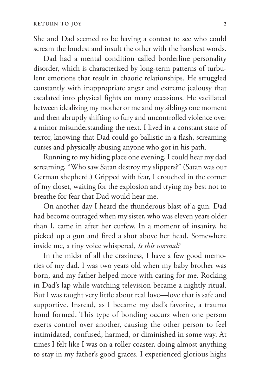She and Dad seemed to be having a contest to see who could scream the loudest and insult the other with the harshest words.

Dad had a mental condition called borderline personality disorder, which is characterized by long-term patterns of turbulent emotions that result in chaotic relationships. He struggled constantly with inappropriate anger and extreme jealousy that escalated into physical fights on many occasions. He vacillated between idealizing my mother or me and my siblings one moment and then abruptly shifting to fury and uncontrolled violence over a minor misunderstanding the next. I lived in a constant state of terror, knowing that Dad could go ballistic in a flash, screaming curses and physically abusing anyone who got in his path.

Running to my hiding place one evening, I could hear my dad screaming, "Who saw Satan destroy my slippers?" (Satan was our German shepherd.) Gripped with fear, I crouched in the corner of my closet, waiting for the explosion and trying my best not to breathe for fear that Dad would hear me.

On another day I heard the thunderous blast of a gun. Dad had become outraged when my sister, who was eleven years older than I, came in after her curfew. In a moment of insanity, he picked up a gun and fired a shot above her head. Somewhere inside me, a tiny voice whispered, *Is this normal?*

In the midst of all the craziness, I have a few good memories of my dad. I was two years old when my baby brother was born, and my father helped more with caring for me. Rocking in Dad's lap while watching television became a nightly ritual. But I was taught very little about real love—love that is safe and supportive. Instead, as I became my dad's favorite, a trauma bond formed. This type of bonding occurs when one person exerts control over another, causing the other person to feel intimidated, confused, harmed, or diminished in some way. At times I felt like I was on a roller coaster, doing almost anything to stay in my father's good graces. I experienced glorious highs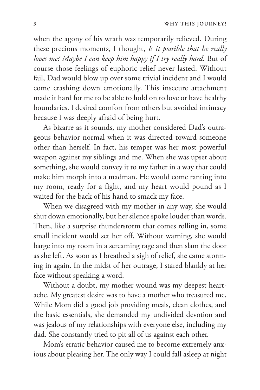when the agony of his wrath was temporarily relieved. During these precious moments, I thought, *Is it possible that he really loves me? Maybe I can keep him happy if I try really hard.* But of course those feelings of euphoric relief never lasted. Without fail, Dad would blow up over some trivial incident and I would come crashing down emotionally. This insecure attachment made it hard for me to be able to hold on to love or have healthy boundaries. I desired comfort from others but avoided intimacy because I was deeply afraid of being hurt.

As bizarre as it sounds, my mother considered Dad's outrageous behavior normal when it was directed toward someone other than herself. In fact, his temper was her most powerful weapon against my siblings and me. When she was upset about something, she would convey it to my father in a way that could make him morph into a madman. He would come ranting into my room, ready for a fight, and my heart would pound as I waited for the back of his hand to smack my face.

When we disagreed with my mother in any way, she would shut down emotionally, but her silence spoke louder than words. Then, like a surprise thunderstorm that comes rolling in, some small incident would set her off. Without warning, she would barge into my room in a screaming rage and then slam the door as she left. As soon as I breathed a sigh of relief, she came storming in again. In the midst of her outrage, I stared blankly at her face without speaking a word.

Without a doubt, my mother wound was my deepest heartache. My greatest desire was to have a mother who treasured me. While Mom did a good job providing meals, clean clothes, and the basic essentials, she demanded my undivided devotion and was jealous of my relationships with everyone else, including my dad. She constantly tried to pit all of us against each other.

Mom's erratic behavior caused me to become extremely anxious about pleasing her. The only way I could fall asleep at night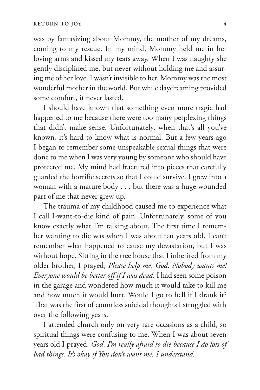was by fantasizing about Mommy, the mother of my dreams, coming to my rescue. In my mind, Mommy held me in her loving arms and kissed my tears away. When I was naughty she gently disciplined me, but never without holding me and assuring me of her love. I wasn't invisible to her. Mommy was the most wonderful mother in the world. But while daydreaming provided some comfort, it never lasted.

I should have known that something even more tragic had happened to me because there were too many perplexing things that didn't make sense. Unfortunately, when that's all you've known, it's hard to know what is normal. But a few years ago I began to remember some unspeakable sexual things that were done to me when I was very young by someone who should have protected me. My mind had fractured into pieces that carefully guarded the horrific secrets so that I could survive. I grew into a woman with a mature body . . . but there was a huge wounded part of me that never grew up.

The trauma of my childhood caused me to experience what I call I-want-to-die kind of pain. Unfortunately, some of you know exactly what I'm talking about. The first time I remember wanting to die was when I was about ten years old. I can't remember what happened to cause my devastation, but I was without hope. Sitting in the tree house that I inherited from my older brother, I prayed, *Please help me, God. Nobody wants me! Everyone would be better off if I was dead*. I had seen some poison in the garage and wondered how much it would take to kill me and how much it would hurt. Would I go to hell if I drank it? That was the first of countless suicidal thoughts I struggled with over the following years.

I attended church only on very rare occasions as a child, so spiritual things were confusing to me. When I was about seven years old I prayed: *God, I'm really afraid to die because I do lots of bad things. It's okay if You don't want me. I understand.*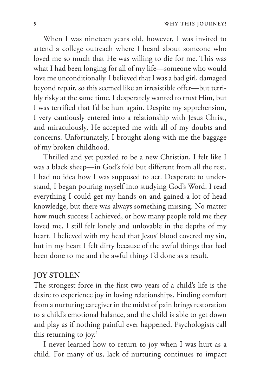When I was nineteen years old, however, I was invited to attend a college outreach where I heard about someone who loved me so much that He was willing to die for me. This was what I had been longing for all of my life—someone who would love me unconditionally. I believed that I was a bad girl, damaged beyond repair, so this seemed like an irresistible offer—but terribly risky at the same time. I desperately wanted to trust Him, but I was terrified that I'd be hurt again. Despite my apprehension, I very cautiously entered into a relationship with Jesus Christ, and miraculously, He accepted me with all of my doubts and concerns. Unfortunately, I brought along with me the baggage of my broken childhood.

Thrilled and yet puzzled to be a new Christian, I felt like I was a black sheep—in God's fold but different from all the rest. I had no idea how I was supposed to act. Desperate to understand, I began pouring myself into studying God's Word. I read everything I could get my hands on and gained a lot of head knowledge, but there was always something missing. No matter how much success I achieved, or how many people told me they loved me, I still felt lonely and unlovable in the depths of my heart. I believed with my head that Jesus' blood covered my sin, but in my heart I felt dirty because of the awful things that had been done to me and the awful things I'd done as a result.

#### **JOY STOLEN**

The strongest force in the first two years of a child's life is the desire to experience joy in loving relationships. Finding comfort from a nurturing caregiver in the midst of pain brings restoration to a child's emotional balance, and the child is able to get down and play as if nothing painful ever happened. Psychologists call this returning to joy.<sup>1</sup>

I never learned how to return to joy when I was hurt as a child. For many of us, lack of nurturing continues to impact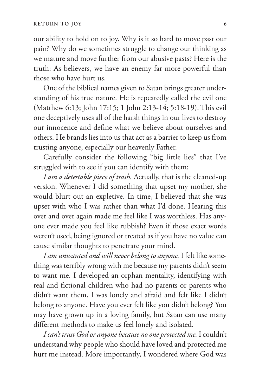our ability to hold on to joy. Why is it so hard to move past our pain? Why do we sometimes struggle to change our thinking as we mature and move further from our abusive pasts? Here is the truth: As believers, we have an enemy far more powerful than those who have hurt us.

One of the biblical names given to Satan brings greater understanding of his true nature. He is repeatedly called the evil one (Matthew 6:13; John 17:15; 1 John 2:13-14; 5:18-19). This evil one deceptively uses all of the harsh things in our lives to destroy our innocence and define what we believe about ourselves and others. He brands lies into us that act as a barrier to keep us from trusting anyone, especially our heavenly Father.

Carefully consider the following "big little lies" that I've struggled with to see if you can identify with them:

*I am a detestable piece of trash.* Actually, that is the cleaned-up version. Whenever I did something that upset my mother, she would blurt out an expletive. In time, I believed that she was upset with who I was rather than what I'd done. Hearing this over and over again made me feel like I was worthless. Has anyone ever made you feel like rubbish? Even if those exact words weren't used, being ignored or treated as if you have no value can cause similar thoughts to penetrate your mind.

*I am unwanted and will never belong to anyone.* I felt like something was terribly wrong with me because my parents didn't seem to want me. I developed an orphan mentality, identifying with real and fictional children who had no parents or parents who didn't want them. I was lonely and afraid and felt like I didn't belong to anyone. Have you ever felt like you didn't belong? You may have grown up in a loving family, but Satan can use many different methods to make us feel lonely and isolated.

*I can't trust God or anyone because no one protected me.* I couldn't understand why people who should have loved and protected me hurt me instead. More importantly, I wondered where God was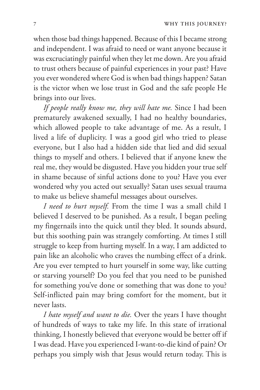when those bad things happened. Because of this I became strong and independent. I was afraid to need or want anyone because it was excruciatingly painful when they let me down. Are you afraid to trust others because of painful experiences in your past? Have you ever wondered where God is when bad things happen? Satan is the victor when we lose trust in God and the safe people He brings into our lives.

*If people really know me, they will hate me.* Since I had been prematurely awakened sexually, I had no healthy boundaries, which allowed people to take advantage of me. As a result, I lived a life of duplicity. I was a good girl who tried to please everyone, but I also had a hidden side that lied and did sexual things to myself and others. I believed that if anyone knew the real me, they would be disgusted. Have you hidden your true self in shame because of sinful actions done to you? Have you ever wondered why you acted out sexually? Satan uses sexual trauma to make us believe shameful messages about ourselves.

*I need to hurt myself.* From the time I was a small child I believed I deserved to be punished. As a result, I began peeling my fingernails into the quick until they bled. It sounds absurd, but this soothing pain was strangely comforting. At times I still struggle to keep from hurting myself. In a way, I am addicted to pain like an alcoholic who craves the numbing effect of a drink. Are you ever tempted to hurt yourself in some way, like cutting or starving yourself? Do you feel that you need to be punished for something you've done or something that was done to you? Self-inflicted pain may bring comfort for the moment, but it never lasts.

*I hate myself and want to die.* Over the years I have thought of hundreds of ways to take my life. In this state of irrational thinking, I honestly believed that everyone would be better off if I was dead. Have you experienced I-want-to-die kind of pain? Or perhaps you simply wish that Jesus would return today. This is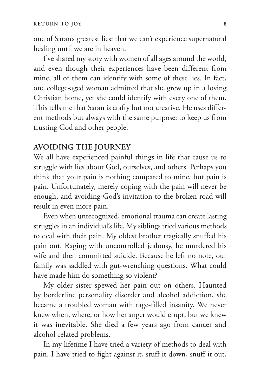one of Satan's greatest lies: that we can't experience supernatural healing until we are in heaven.

I've shared my story with women of all ages around the world, and even though their experiences have been different from mine, all of them can identify with some of these lies. In fact, one college-aged woman admitted that she grew up in a loving Christian home, yet she could identify with every one of them. This tells me that Satan is crafty but not creative. He uses different methods but always with the same purpose: to keep us from trusting God and other people.

#### **AVOIDING THE JOURNEY**

We all have experienced painful things in life that cause us to struggle with lies about God, ourselves, and others. Perhaps you think that your pain is nothing compared to mine, but pain is pain. Unfortunately, merely coping with the pain will never be enough, and avoiding God's invitation to the broken road will result in even more pain.

Even when unrecognized, emotional trauma can create lasting struggles in an individual's life. My siblings tried various methods to deal with their pain. My oldest brother tragically snuffed his pain out. Raging with uncontrolled jealousy, he murdered his wife and then committed suicide. Because he left no note, our family was saddled with gut-wrenching questions. What could have made him do something so violent?

My older sister spewed her pain out on others. Haunted by borderline personality disorder and alcohol addiction, she became a troubled woman with rage-filled insanity. We never knew when, where, or how her anger would erupt, but we knew it was inevitable. She died a few years ago from cancer and alcohol-related problems.

In my lifetime I have tried a variety of methods to deal with pain. I have tried to fight against it, stuff it down, snuff it out,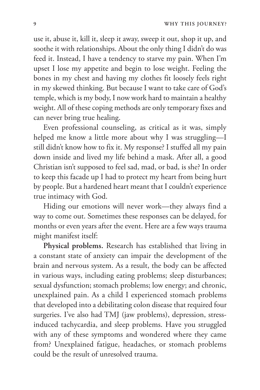use it, abuse it, kill it, sleep it away, sweep it out, shop it up, and soothe it with relationships. About the only thing I didn't do was feed it. Instead, I have a tendency to starve my pain. When I'm upset I lose my appetite and begin to lose weight. Feeling the bones in my chest and having my clothes fit loosely feels right in my skewed thinking. But because I want to take care of God's temple, which is my body, I now work hard to maintain a healthy weight. All of these coping methods are only temporary fixes and can never bring true healing.

Even professional counseling, as critical as it was, simply helped me know a little more about why I was struggling-I still didn't know how to fix it. My response? I stuffed all my pain down inside and lived my life behind a mask. After all, a good Christian isn't supposed to feel sad, mad, or bad, is she? In order to keep this facade up I had to protect my heart from being hurt by people. But a hardened heart meant that I couldn't experience true intimacy with God.

Hiding our emotions will never work— they always find a way to come out. Sometimes these responses can be delayed, for months or even years after the event. Here are a few ways trauma might manifest itself:

**Physical problems.** Research has established that living in a constant state of anxiety can impair the development of the brain and nervous system. As a result, the body can be affected in various ways, including eating problems; sleep disturbances; sexual dysfunction; stomach problems; low energy; and chronic, unexplained pain. As a child I experienced stomach problems that developed into a debilitating colon disease that required four surgeries. I've also had TMJ (jaw problems), depression, stressinduced tachycardia, and sleep problems. Have you struggled with any of these symptoms and wondered where they came from? Unexplained fatigue, headaches, or stomach problems could be the result of unresolved trauma.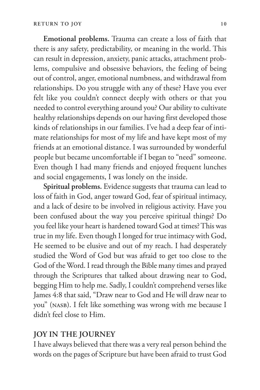**Emotional problems.** Trauma can create a loss of faith that there is any safety, predictability, or meaning in the world. This can result in depression, anxiety, panic attacks, attachment problems, compulsive and obsessive behaviors, the feeling of being out of control, anger, emotional numbness, and withdrawal from relationships. Do you struggle with any of these? Have you ever felt like you couldn't connect deeply with others or that you needed to control everything around you? Our ability to cultivate healthy relationships depends on our having first developed those kinds of relationships in our families. I've had a deep fear of intimate relationships for most of my life and have kept most of my friends at an emotional distance. I was surrounded by wonderful people but became uncomfortable if I began to "need" someone. Even though I had many friends and enjoyed frequent lunches and social engagements, I was lonely on the inside.

**Spiritual problems.** Evidence suggests that trauma can lead to loss of faith in God, anger toward God, fear of spiritual intimacy, and a lack of desire to be involved in religious activity. Have you been confused about the way you perceive spiritual things? Do you feel like your heart is hardened toward God at times? This was true in my life. Even though I longed for true intimacy with God, He seemed to be elusive and out of my reach. I had desperately studied the Word of God but was afraid to get too close to the God of the Word. I read through the Bible many times and prayed through the Scriptures that talked about drawing near to God, begging Him to help me. Sadly, I couldn't comprehend verses like James 4:8 that said, "Draw near to God and He will draw near to you" (NASB). I felt like something was wrong with me because I didn't feel close to Him.

#### **JOY IN THE JOURNEY**

I have always believed that there was a very real person behind the words on the pages of Scripture but have been afraid to trust God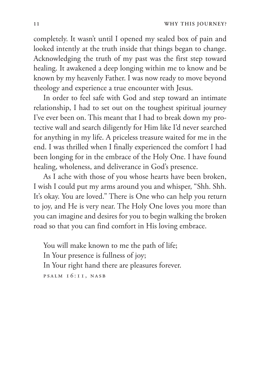completely. It wasn't until I opened my sealed box of pain and looked intently at the truth inside that things began to change. Acknowledging the truth of my past was the first step toward healing. It awakened a deep longing within me to know and be known by my heavenly Father. I was now ready to move beyond theology and experience a true encounter with Jesus.

In order to feel safe with God and step toward an intimate relationship, I had to set out on the toughest spiritual journey I've ever been on. This meant that I had to break down my protective wall and search diligently for Him like I'd never searched for anything in my life. A priceless treasure waited for me in the end. I was thrilled when I finally experienced the comfort I had been longing for in the embrace of the Holy One. I have found healing, wholeness, and deliverance in God's presence.

As I ache with those of you whose hearts have been broken, I wish I could put my arms around you and whisper, "Shh. Shh. It's okay. You are loved." There is One who can help you return to joy, and He is very near. The Holy One loves you more than you can imagine and desires for you to begin walking the broken road so that you can find comfort in His loving embrace.

You will make known to me the path of life; In Your presence is fullness of joy; In Your right hand there are pleasures forever. P salm 16:11, nasb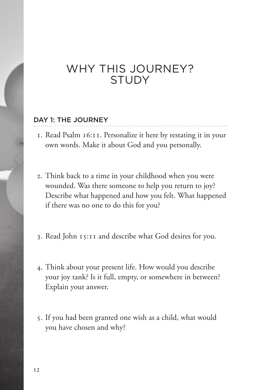## <span id="page-28-0"></span>WHY THIS JOURNEY? **STUDY**

#### DAY 1: THE JOURNEY

- 1. Read Psalm 16:11. Personalize it here by restating it in your own words. Make it about God and you personally.
- 2. Think back to a time in your childhood when you were wounded. Was there someone to help you return to joy? Describe what happened and how you felt. What happened if there was no one to do this for you?
- 3. Read John 15:11 and describe what God desires for you.
- 4. Think about your present life. How would you describe your joy tank? Is it full, empty, or somewhere in between? Explain your answer.
- 5. If you had been granted one wish as a child, what would you have chosen and why?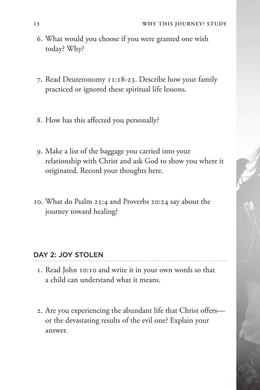- 6. What would you choose if you were granted one wish today? Why?
- 7. Read Deuteronomy 11:18-23. Describe how your family practiced or ignored these spiritual life lessons.
- 8. How has this affected you personally?
- 9. Make a list of the baggage you carried into your relationship with Christ and ask God to show you where it originated. Record your thoughts here.
- 10. What do Psalm 25:4 and Proverbs 20:24 say about the journey toward healing?

#### DAY 2: JOY STOLEN

- 1. Read John 10:10 and write it in your own words so that a child can understand what it means.
- 2. Are you experiencing the abundant life that Christ offers or the devastating results of the evil one? Explain your answer.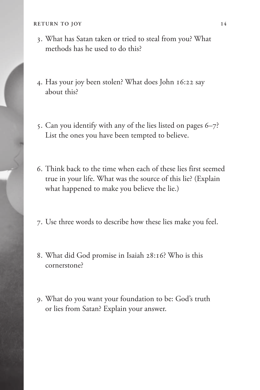- 3. What has Satan taken or tried to steal from you? What methods has he used to do this?
- 4. Has your joy been stolen? What does John 16:22 say about this?
- 5. Can you identify with any of the lies listed on pages 6–7? List the ones you have been tempted to believe.
- 6. Think back to the time when each of these lies first seemed true in your life. What was the source of this lie? (Explain what happened to make you believe the lie.)
- 7. Use three words to describe how these lies make you feel.
- 8. What did God promise in Isaiah 28:16? Who is this cornerstone?
- 9. What do you want your foundation to be: God's truth or lies from Satan? Explain your answer.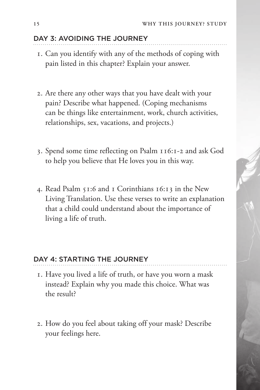#### DAY 3: AVOIDING THE JOURNEY

- 1. Can you identify with any of the methods of coping with pain listed in this chapter? Explain your answer.
- 2. Are there any other ways that you have dealt with your pain? Describe what happened. (Coping mechanisms can be things like entertainment, work, church activities, relationships, sex, vacations, and projects.)
- 3. Spend some time reflecting on Psalm 116:1-2 and ask God to help you believe that He loves you in this way.
- 4. Read Psalm 51:6 and 1 Corinthians 16:13 in the New Living Translation. Use these verses to write an explanation that a child could understand about the importance of living a life of truth.

#### DAY 4: STARTING THE JOURNEY

- 1. Have you lived a life of truth, or have you worn a mask instead? Explain why you made this choice. What was the result?
- 2. How do you feel about taking off your mask? Describe your feelings here.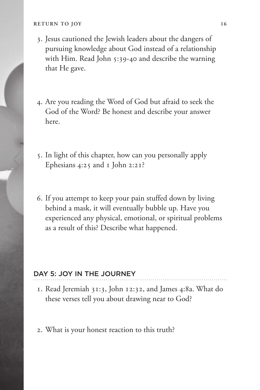- 3. Jesus cautioned the Jewish leaders about the dangers of pursuing knowledge about God instead of a relationship with Him. Read John 5:39-40 and describe the warning that He gave.
- 4. Are you reading the Word of God but afraid to seek the God of the Word? Be honest and describe your answer here.
- 5. In light of this chapter, how can you personally apply Ephesians 4:25 and 1 John 2:21?
- 6. If you attempt to keep your pain stuffed down by living behind a mask, it will eventually bubble up. Have you experienced any physical, emotional, or spiritual problems as a result of this? Describe what happened.

#### DAY 5: JOY IN THE JOURNEY

- 1. Read Jeremiah 31:3, John 12:32, and James 4:8a. What do these verses tell you about drawing near to God?
- 2. What is your honest reaction to this truth?